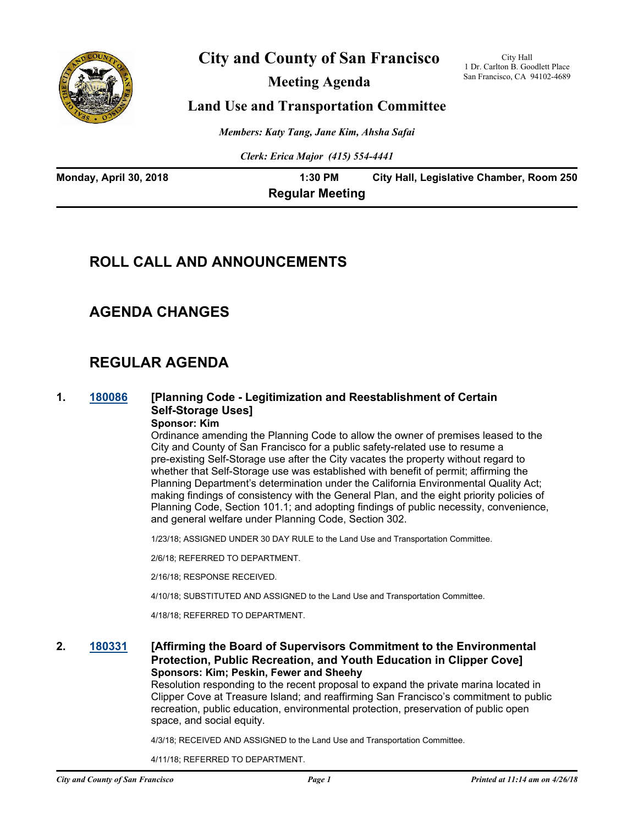

## **City and County of San Francisco**

**Meeting Agenda**

City Hall 1 Dr. Carlton B. Goodlett Place San Francisco, CA 94102-4689

## **Land Use and Transportation Committee**

*Members: Katy Tang, Jane Kim, Ahsha Safai*

*Clerk: Erica Major (415) 554-4441*

| Monday, April 30, 2018 | 1:30 PM                | City Hall, Legislative Chamber, Room 250 |
|------------------------|------------------------|------------------------------------------|
|                        | <b>Regular Meeting</b> |                                          |

## **ROLL CALL AND ANNOUNCEMENTS**

## **AGENDA CHANGES**

## **REGULAR AGENDA**

## **1. [180086](http://sfgov.legistar.com/gateway.aspx?m=l&id=32955) [Planning Code - Legitimization and Reestablishment of Certain Self-Storage Uses]**

# **Sponsor: Kim**

Ordinance amending the Planning Code to allow the owner of premises leased to the City and County of San Francisco for a public safety-related use to resume a pre-existing Self-Storage use after the City vacates the property without regard to whether that Self-Storage use was established with benefit of permit; affirming the Planning Department's determination under the California Environmental Quality Act; making findings of consistency with the General Plan, and the eight priority policies of Planning Code, Section 101.1; and adopting findings of public necessity, convenience, and general welfare under Planning Code, Section 302.

1/23/18; ASSIGNED UNDER 30 DAY RULE to the Land Use and Transportation Committee.

2/6/18; REFERRED TO DEPARTMENT.

2/16/18; RESPONSE RECEIVED.

4/10/18; SUBSTITUTED AND ASSIGNED to the Land Use and Transportation Committee.

4/18/18; REFERRED TO DEPARTMENT.

### **2. [180331](http://sfgov.legistar.com/gateway.aspx?m=l&id=33200) [Affirming the Board of Supervisors Commitment to the Environmental Protection, Public Recreation, and Youth Education in Clipper Cove] Sponsors: Kim; Peskin, Fewer and Sheehy**

Resolution responding to the recent proposal to expand the private marina located in Clipper Cove at Treasure Island; and reaffirming San Francisco's commitment to public recreation, public education, environmental protection, preservation of public open space, and social equity.

4/3/18; RECEIVED AND ASSIGNED to the Land Use and Transportation Committee.

4/11/18; REFERRED TO DEPARTMENT.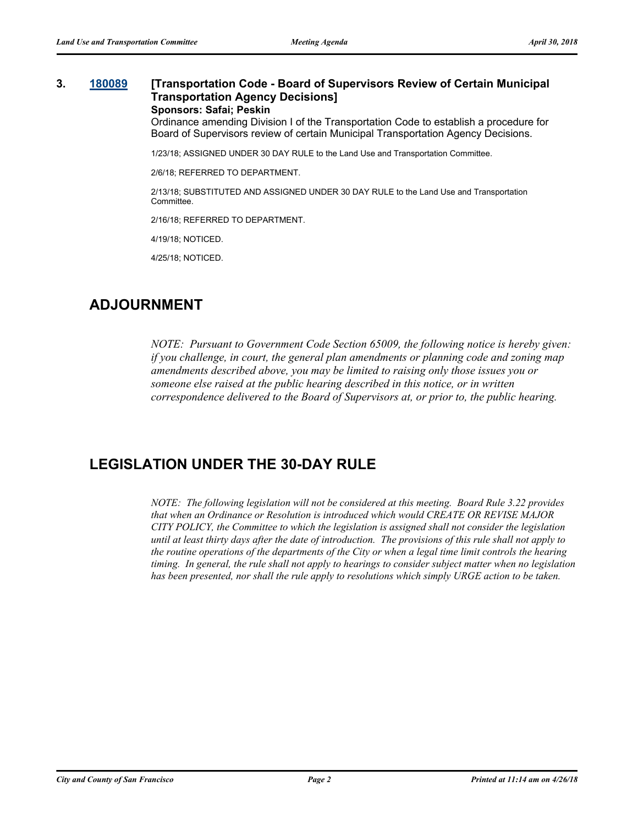### **3. [180089](http://sfgov.legistar.com/gateway.aspx?m=l&id=32958) [Transportation Code - Board of Supervisors Review of Certain Municipal Transportation Agency Decisions] Sponsors: Safai; Peskin**

Ordinance amending Division I of the Transportation Code to establish a procedure for Board of Supervisors review of certain Municipal Transportation Agency Decisions.

1/23/18; ASSIGNED UNDER 30 DAY RULE to the Land Use and Transportation Committee.

2/6/18; REFERRED TO DEPARTMENT.

2/13/18; SUBSTITUTED AND ASSIGNED UNDER 30 DAY RULE to the Land Use and Transportation Committee.

2/16/18; REFERRED TO DEPARTMENT.

4/19/18; NOTICED.

4/25/18; NOTICED.

## **ADJOURNMENT**

*NOTE: Pursuant to Government Code Section 65009, the following notice is hereby given: if you challenge, in court, the general plan amendments or planning code and zoning map amendments described above, you may be limited to raising only those issues you or someone else raised at the public hearing described in this notice, or in written correspondence delivered to the Board of Supervisors at, or prior to, the public hearing.*

## **LEGISLATION UNDER THE 30-DAY RULE**

*NOTE: The following legislation will not be considered at this meeting. Board Rule 3.22 provides that when an Ordinance or Resolution is introduced which would CREATE OR REVISE MAJOR CITY POLICY, the Committee to which the legislation is assigned shall not consider the legislation until at least thirty days after the date of introduction. The provisions of this rule shall not apply to the routine operations of the departments of the City or when a legal time limit controls the hearing timing. In general, the rule shall not apply to hearings to consider subject matter when no legislation has been presented, nor shall the rule apply to resolutions which simply URGE action to be taken.*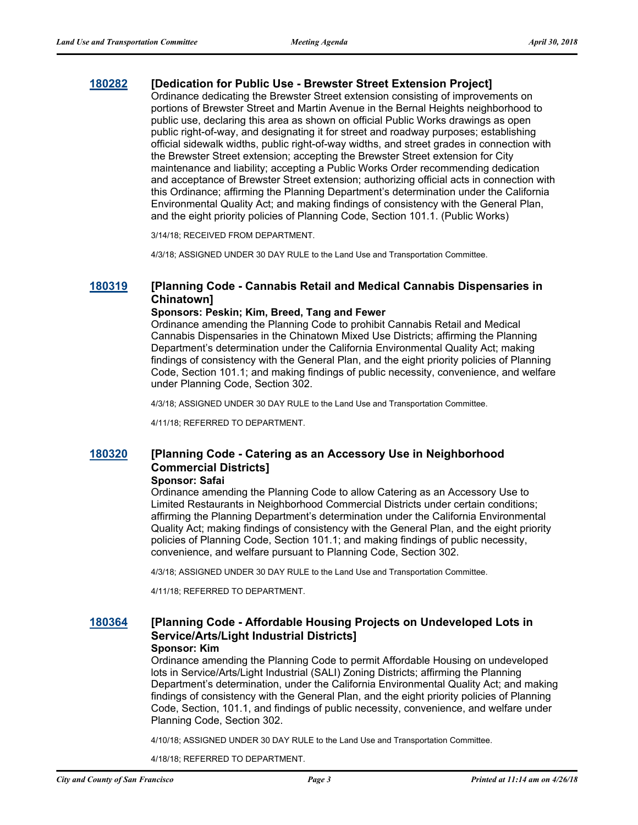### **[180282](http://sfgov.legistar.com/gateway.aspx?m=l&id=33151) [Dedication for Public Use - Brewster Street Extension Project]**

Ordinance dedicating the Brewster Street extension consisting of improvements on portions of Brewster Street and Martin Avenue in the Bernal Heights neighborhood to public use, declaring this area as shown on official Public Works drawings as open public right-of-way, and designating it for street and roadway purposes; establishing official sidewalk widths, public right-of-way widths, and street grades in connection with the Brewster Street extension; accepting the Brewster Street extension for City maintenance and liability; accepting a Public Works Order recommending dedication and acceptance of Brewster Street extension; authorizing official acts in connection with this Ordinance; affirming the Planning Department's determination under the California Environmental Quality Act; and making findings of consistency with the General Plan, and the eight priority policies of Planning Code, Section 101.1. (Public Works)

3/14/18; RECEIVED FROM DEPARTMENT.

4/3/18; ASSIGNED UNDER 30 DAY RULE to the Land Use and Transportation Committee.

### **[180319](http://sfgov.legistar.com/gateway.aspx?m=l&id=33188) [Planning Code - Cannabis Retail and Medical Cannabis Dispensaries in Chinatown]**

#### **Sponsors: Peskin; Kim, Breed, Tang and Fewer**

Ordinance amending the Planning Code to prohibit Cannabis Retail and Medical Cannabis Dispensaries in the Chinatown Mixed Use Districts; affirming the Planning Department's determination under the California Environmental Quality Act; making findings of consistency with the General Plan, and the eight priority policies of Planning Code, Section 101.1; and making findings of public necessity, convenience, and welfare under Planning Code, Section 302.

4/3/18; ASSIGNED UNDER 30 DAY RULE to the Land Use and Transportation Committee.

4/11/18; REFERRED TO DEPARTMENT.

## **[180320](http://sfgov.legistar.com/gateway.aspx?m=l&id=33189) [Planning Code - Catering as an Accessory Use in Neighborhood Commercial Districts]**

#### **Sponsor: Safai**

Ordinance amending the Planning Code to allow Catering as an Accessory Use to Limited Restaurants in Neighborhood Commercial Districts under certain conditions; affirming the Planning Department's determination under the California Environmental Quality Act; making findings of consistency with the General Plan, and the eight priority policies of Planning Code, Section 101.1; and making findings of public necessity, convenience, and welfare pursuant to Planning Code, Section 302.

4/3/18; ASSIGNED UNDER 30 DAY RULE to the Land Use and Transportation Committee.

4/11/18; REFERRED TO DEPARTMENT.

#### **[180364](http://sfgov.legistar.com/gateway.aspx?m=l&id=33233) [Planning Code - Affordable Housing Projects on Undeveloped Lots in Service/Arts/Light Industrial Districts] Sponsor: Kim**

Ordinance amending the Planning Code to permit Affordable Housing on undeveloped lots in Service/Arts/Light Industrial (SALI) Zoning Districts; affirming the Planning Department's determination, under the California Environmental Quality Act; and making findings of consistency with the General Plan, and the eight priority policies of Planning Code, Section, 101.1, and findings of public necessity, convenience, and welfare under Planning Code, Section 302.

4/10/18; ASSIGNED UNDER 30 DAY RULE to the Land Use and Transportation Committee.

4/18/18; REFERRED TO DEPARTMENT.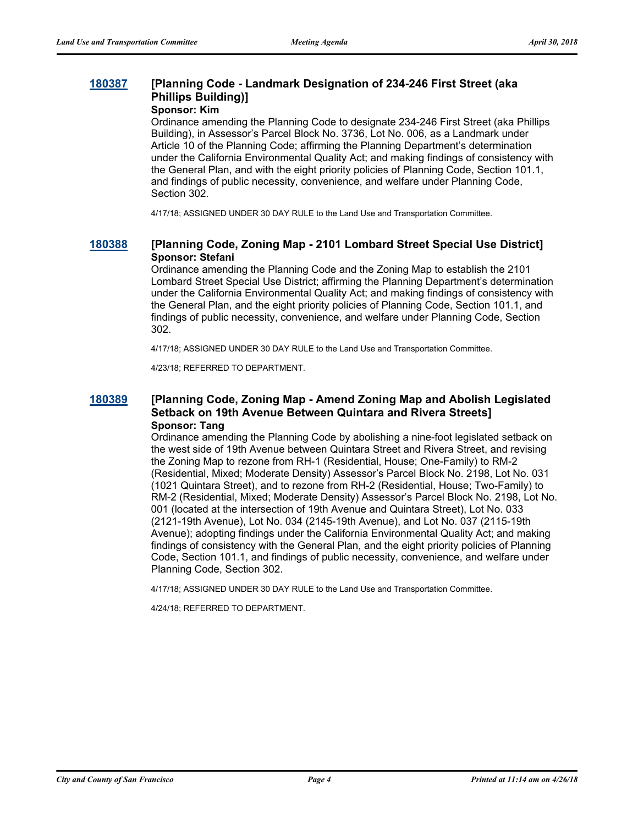## **[180387](http://sfgov.legistar.com/gateway.aspx?m=l&id=33256) [Planning Code - Landmark Designation of 234-246 First Street (aka Phillips Building)]**

### **Sponsor: Kim**

Ordinance amending the Planning Code to designate 234-246 First Street (aka Phillips Building), in Assessor's Parcel Block No. 3736, Lot No. 006, as a Landmark under Article 10 of the Planning Code; affirming the Planning Department's determination under the California Environmental Quality Act; and making findings of consistency with the General Plan, and with the eight priority policies of Planning Code, Section 101.1, and findings of public necessity, convenience, and welfare under Planning Code, Section 302.

4/17/18; ASSIGNED UNDER 30 DAY RULE to the Land Use and Transportation Committee.

### **[180388](http://sfgov.legistar.com/gateway.aspx?m=l&id=33257) [Planning Code, Zoning Map - 2101 Lombard Street Special Use District] Sponsor: Stefani**

Ordinance amending the Planning Code and the Zoning Map to establish the 2101 Lombard Street Special Use District; affirming the Planning Department's determination under the California Environmental Quality Act; and making findings of consistency with the General Plan, and the eight priority policies of Planning Code, Section 101.1, and findings of public necessity, convenience, and welfare under Planning Code, Section 302.

4/17/18; ASSIGNED UNDER 30 DAY RULE to the Land Use and Transportation Committee.

4/23/18; REFERRED TO DEPARTMENT.

### **[180389](http://sfgov.legistar.com/gateway.aspx?m=l&id=33258) [Planning Code, Zoning Map - Amend Zoning Map and Abolish Legislated Setback on 19th Avenue Between Quintara and Rivera Streets] Sponsor: Tang**

Ordinance amending the Planning Code by abolishing a nine-foot legislated setback on the west side of 19th Avenue between Quintara Street and Rivera Street, and revising the Zoning Map to rezone from RH-1 (Residential, House; One-Family) to RM-2 (Residential, Mixed; Moderate Density) Assessor's Parcel Block No. 2198, Lot No. 031 (1021 Quintara Street), and to rezone from RH-2 (Residential, House; Two-Family) to RM-2 (Residential, Mixed; Moderate Density) Assessor's Parcel Block No. 2198, Lot No. 001 (located at the intersection of 19th Avenue and Quintara Street), Lot No. 033 (2121-19th Avenue), Lot No. 034 (2145-19th Avenue), and Lot No. 037 (2115-19th Avenue); adopting findings under the California Environmental Quality Act; and making findings of consistency with the General Plan, and the eight priority policies of Planning Code, Section 101.1, and findings of public necessity, convenience, and welfare under Planning Code, Section 302.

4/17/18; ASSIGNED UNDER 30 DAY RULE to the Land Use and Transportation Committee.

4/24/18; REFERRED TO DEPARTMENT.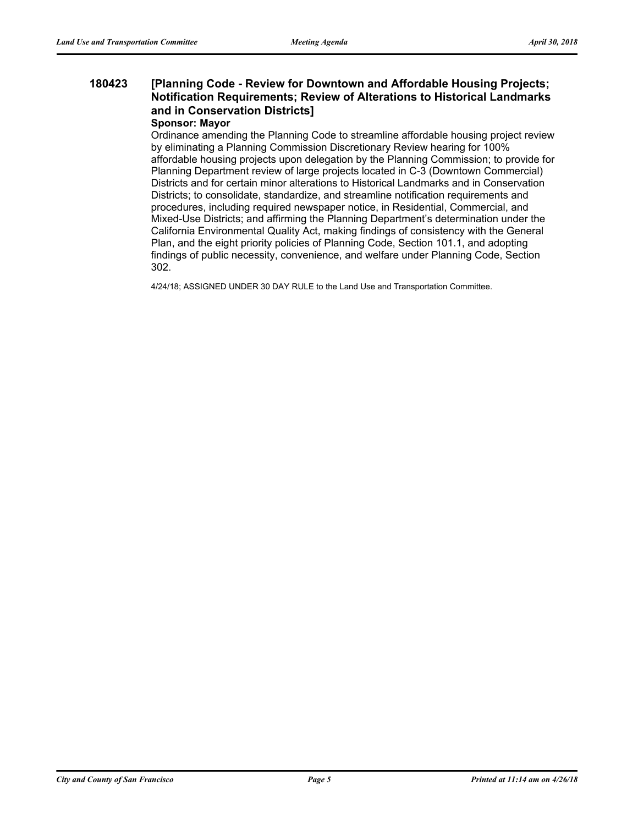#### **[Planning Code - Review for Downtown and Affordable Housing Projects; Notification Requirements; Review of Alterations to Historical Landmarks and in Conservation Districts] 180423**

#### **Sponsor: Mayor**

Ordinance amending the Planning Code to streamline affordable housing project review by eliminating a Planning Commission Discretionary Review hearing for 100% affordable housing projects upon delegation by the Planning Commission; to provide for Planning Department review of large projects located in C-3 (Downtown Commercial) Districts and for certain minor alterations to Historical Landmarks and in Conservation Districts; to consolidate, standardize, and streamline notification requirements and procedures, including required newspaper notice, in Residential, Commercial, and Mixed-Use Districts; and affirming the Planning Department's determination under the California Environmental Quality Act, making findings of consistency with the General Plan, and the eight priority policies of Planning Code, Section 101.1, and adopting findings of public necessity, convenience, and welfare under Planning Code, Section 302.

4/24/18; ASSIGNED UNDER 30 DAY RULE to the Land Use and Transportation Committee.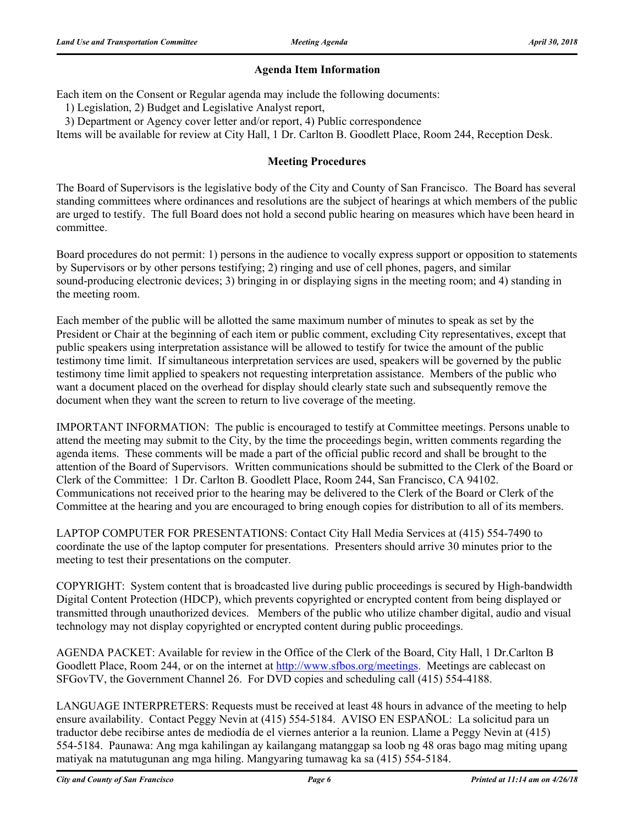### **Agenda Item Information**

Each item on the Consent or Regular agenda may include the following documents:

1) Legislation, 2) Budget and Legislative Analyst report,

3) Department or Agency cover letter and/or report, 4) Public correspondence

Items will be available for review at City Hall, 1 Dr. Carlton B. Goodlett Place, Room 244, Reception Desk.

### **Meeting Procedures**

The Board of Supervisors is the legislative body of the City and County of San Francisco. The Board has several standing committees where ordinances and resolutions are the subject of hearings at which members of the public are urged to testify. The full Board does not hold a second public hearing on measures which have been heard in committee.

Board procedures do not permit: 1) persons in the audience to vocally express support or opposition to statements by Supervisors or by other persons testifying; 2) ringing and use of cell phones, pagers, and similar sound-producing electronic devices; 3) bringing in or displaying signs in the meeting room; and 4) standing in the meeting room.

Each member of the public will be allotted the same maximum number of minutes to speak as set by the President or Chair at the beginning of each item or public comment, excluding City representatives, except that public speakers using interpretation assistance will be allowed to testify for twice the amount of the public testimony time limit. If simultaneous interpretation services are used, speakers will be governed by the public testimony time limit applied to speakers not requesting interpretation assistance. Members of the public who want a document placed on the overhead for display should clearly state such and subsequently remove the document when they want the screen to return to live coverage of the meeting.

IMPORTANT INFORMATION: The public is encouraged to testify at Committee meetings. Persons unable to attend the meeting may submit to the City, by the time the proceedings begin, written comments regarding the agenda items. These comments will be made a part of the official public record and shall be brought to the attention of the Board of Supervisors. Written communications should be submitted to the Clerk of the Board or Clerk of the Committee: 1 Dr. Carlton B. Goodlett Place, Room 244, San Francisco, CA 94102. Communications not received prior to the hearing may be delivered to the Clerk of the Board or Clerk of the Committee at the hearing and you are encouraged to bring enough copies for distribution to all of its members.

LAPTOP COMPUTER FOR PRESENTATIONS: Contact City Hall Media Services at (415) 554-7490 to coordinate the use of the laptop computer for presentations. Presenters should arrive 30 minutes prior to the meeting to test their presentations on the computer.

COPYRIGHT: System content that is broadcasted live during public proceedings is secured by High-bandwidth Digital Content Protection (HDCP), which prevents copyrighted or encrypted content from being displayed or transmitted through unauthorized devices. Members of the public who utilize chamber digital, audio and visual technology may not display copyrighted or encrypted content during public proceedings.

AGENDA PACKET: Available for review in the Office of the Clerk of the Board, City Hall, 1 Dr.Carlton B Goodlett Place, Room 244, or on the internet at http://www.sfbos.org/meetings. Meetings are cablecast on SFGovTV, the Government Channel 26. For DVD copies and scheduling call (415) 554-4188.

LANGUAGE INTERPRETERS: Requests must be received at least 48 hours in advance of the meeting to help ensure availability. Contact Peggy Nevin at (415) 554-5184. AVISO EN ESPAÑOL: La solicitud para un traductor debe recibirse antes de mediodía de el viernes anterior a la reunion. Llame a Peggy Nevin at (415) 554-5184. Paunawa: Ang mga kahilingan ay kailangang matanggap sa loob ng 48 oras bago mag miting upang matiyak na matutugunan ang mga hiling. Mangyaring tumawag ka sa (415) 554-5184.